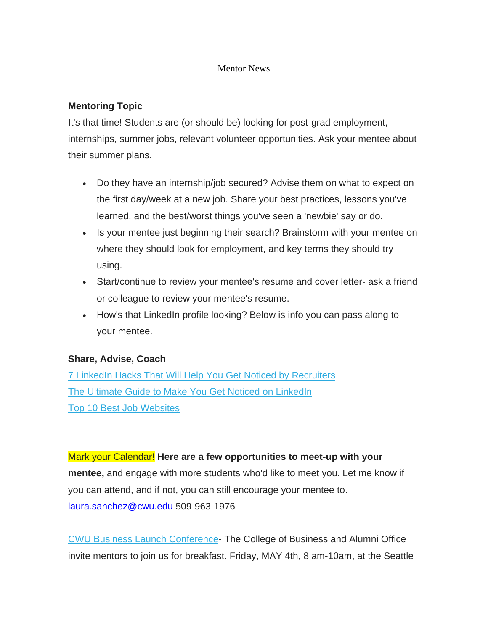#### Mentor News

# **Mentoring Topic**

It's that time! Students are (or should be) looking for post-grad employment, internships, summer jobs, relevant volunteer opportunities. Ask your mentee about their summer plans.

- Do they have an internship/job secured? Advise them on what to expect on the first day/week at a new job. Share your best practices, lessons you've learned, and the best/worst things you've seen a 'newbie' say or do.
- Is your mentee just beginning their search? Brainstorm with your mentee on where they should look for employment, and key terms they should try using.
- Start/continue to review your mentee's resume and cover letter- ask a friend or colleague to review your mentee's resume.
- How's that LinkedIn profile looking? Below is info you can pass along to your mentee.

### **Share, Advise, Coach**

[7 LinkedIn Hacks That Will Help You Get Noticed by Recruiters](https://www.cnbc.com/2017/03/27/7-linkedin-hacks-that-will-help-you-get-noticed-by-recruiters.html) [The Ultimate Guide to Make You Get Noticed on LinkedIn](https://blog.kickresume.com/2017/01/10/get-noticed-on-linkedin/) [Top 10 Best Job Websites](https://www.thebalance.com/top-best-job-websites-2064080)

Mark your Calendar! **Here are a few opportunities to meet-up with your mentee,** and engage with more students who'd like to meet you. Let me know if you can attend, and if not, you can still encourage your mentee to. [laura.sanchez@cwu.edu](mailto:laura.sanchez@cwu.edu) 509-963-1976

[CWU Business Launch Conference-](http://www.cwu.edu/business/launch) The College of Business and Alumni Office invite mentors to join us for breakfast. Friday, MAY 4th, 8 am-10am, at the Seattle